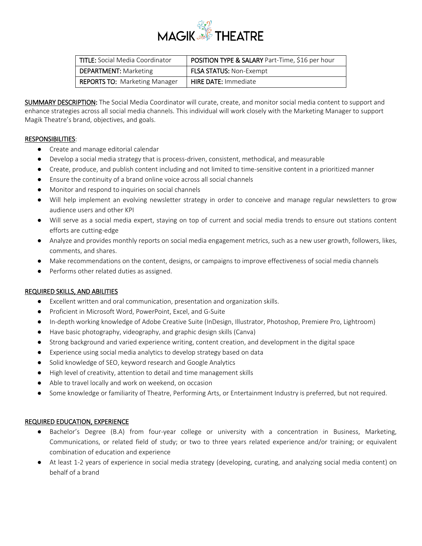

| TITLE: Social Media Coordinator      | <b>POSITION TYPE &amp; SALARY Part-Time, \$16 per hour</b> |
|--------------------------------------|------------------------------------------------------------|
| <b>DEPARTMENT:</b> Marketing         | <b>FLSA STATUS: Non-Exempt</b>                             |
| <b>REPORTS TO: Marketing Manager</b> | <b>HIRE DATE: Immediate</b>                                |

SUMMARY DESCRIPTION: The Social Media Coordinator will curate, create, and monitor social media content to support and enhance strategies across all social media channels. This individual will work closely with the Marketing Manager to support Magik Theatre's brand, objectives, and goals.

## RESPONSIBILITIES:

- Create and manage editorial calendar
- Develop a social media strategy that is process-driven, consistent, methodical, and measurable
- Create, produce, and publish content including and not limited to time-sensitive content in a prioritized manner
- Ensure the continuity of a brand online voice across all social channels
- Monitor and respond to inquiries on social channels
- Will help implement an evolving newsletter strategy in order to conceive and manage regular newsletters to grow audience users and other KPI
- Will serve as a social media expert, staying on top of current and social media trends to ensure out stations content efforts are cutting-edge
- Analyze and provides monthly reports on social media engagement metrics, such as a new user growth, followers, likes, comments, and shares.
- Make recommendations on the content, designs, or campaigns to improve effectiveness of social media channels
- Performs other related duties as assigned.

## REQUIRED SKILLS, AND ABILITIES

- Excellent written and oral communication, presentation and organization skills.
- Proficient in Microsoft Word, PowerPoint, Excel, and G-Suite
- In-depth working knowledge of Adobe Creative Suite (InDesign, Illustrator, Photoshop, Premiere Pro, Lightroom)
- Have basic photography, videography, and graphic design skills (Canva)
- Strong background and varied experience writing, content creation, and development in the digital space
- Experience using social media analytics to develop strategy based on data
- Solid knowledge of SEO, keyword research and Google Analytics
- High level of creativity, attention to detail and time management skills
- Able to travel locally and work on weekend, on occasion
- Some knowledge or familiarity of Theatre, Performing Arts, or Entertainment Industry is preferred, but not required.

## REQUIRED EDUCATION, EXPERIENCE

- Bachelor's Degree (B.A) from four-year college or university with a concentration in Business, Marketing, Communications, or related field of study; or two to three years related experience and/or training; or equivalent combination of education and experience
- At least 1-2 years of experience in social media strategy (developing, curating, and analyzing social media content) on behalf of a brand